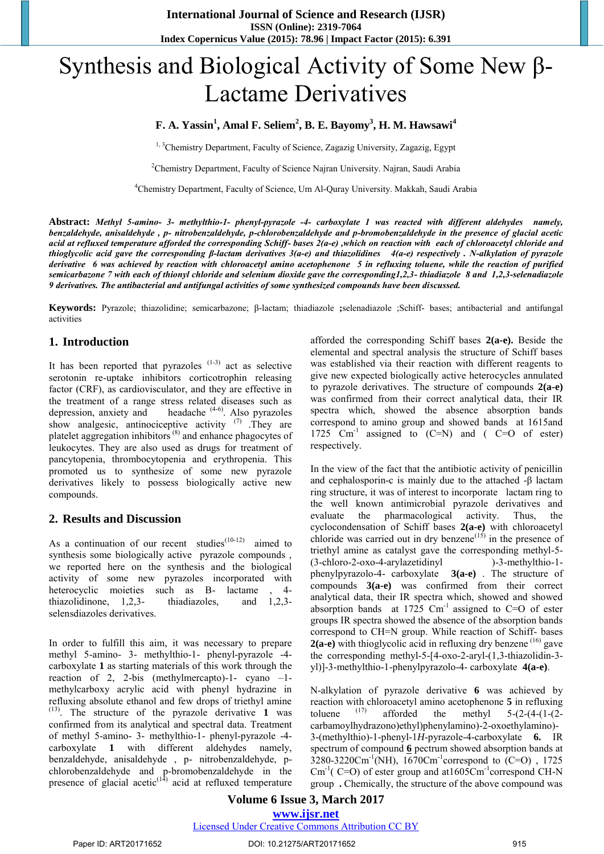# Synthesis and Biological Activity of Some New β-Lactame Derivatives

## **F. A. Yassin<sup>1</sup> , Amal F. Seliem<sup>2</sup> , B. E. Bayomy<sup>3</sup> , H. M. Hawsawi<sup>4</sup>**

<sup>1, 3</sup>Chemistry Department, Faculty of Science, Zagazig University, Zagazig, Egypt

<sup>2</sup>Chemistry Department, Faculty of Science Najran University. Najran, Saudi Arabia

<sup>4</sup>Chemistry Department, Faculty of Science, Um Al-Quray University. Makkah, Saudi Arabia

**Abstract:** *Methyl 5-amino- 3- methylthio-1- phenyl-pyrazole -4- carboxylate 1 was reacted with different aldehydes namely, benzaldehyde, anisaldehyde , p- nitrobenzaldehyde, p-chlorobenzaldehyde and p-bromobenzaldehyde in the presence of glacial acetic acid at refluxed temperature afforded the corresponding Schiff- bases 2(a-e) ,which on reaction with each of chloroacetyl chloride and thioglycolic acid gave the corresponding β-lactam derivatives 3(a-e) and thiazolidines 4(a-e) respectively . N-alkylation of pyrazole derivative 6 was achieved by reaction with chloroacetyl amino acetophenone 5 in refluxing toluene, while the reaction of purified semicarbazone 7 with each of thionyl chloride and selenium dioxide gave the corresponding1,2,3- thiadiazole 8 and 1,2,3-selenadiazole 9 derivatives. The antibacterial and antifungal activities of some synthesized compounds have been discussed.* 

**Keywords:** Pyrazole; thiazolidine; semicarbazone; β-lactam; thiadiazole **;**selenadiazole ;Schiff- bases; antibacterial and antifungal activities

#### **1. Introduction**

It has been reported that pyrazoles  $(1-3)$  act as selective serotonin re-uptake inhibitors corticotrophin releasing factor (CRF), as cardiovisculator, and they are effective in the treatment of a range stress related diseases such as depression, anxiety and headache (4-6). Also pyrazoles show analgesic, antinociceptive activity  $(7)$  . They are platelet aggregation inhibitors $(8)$  and enhance phagocytes of leukocytes. They are also used as drugs for treatment of pancytopenia, thrombocytopenia and erythropenia. This promoted us to synthesize of some new pyrazole derivatives likely to possess biologically active new compounds.

#### **2. Results and Discussion**

As a continuation of our recent studies  $(10-12)$  aimed to synthesis some biologically active pyrazole compounds , we reported here on the synthesis and the biological activity of some new pyrazoles incorporated with heterocyclic moieties such as B- lactame , 4 thiazolidinone, 1,2,3- thiadiazoles, and 1,2,3 selensdiazoles derivatives.

In order to fulfill this aim, it was necessary to prepare methyl 5-amino- 3- methylthio-1- phenyl-pyrazole -4 carboxylate **1** as starting materials of this work through the reaction of 2, 2-bis (methylmercapto)-1- cyano –1 methylcarboxy acrylic acid with phenyl hydrazine in refluxing absolute ethanol and few drops of triethyl amine (13). The structure of the pyrazole derivative **1** was confirmed from its analytical and spectral data. Treatment of methyl 5-amino- 3- methylthio-1- phenyl-pyrazole -4 carboxylate **1** with different aldehydes namely, benzaldehyde, anisaldehyde , p- nitrobenzaldehyde, pchlorobenzaldehyde and p-bromobenzaldehyde in the presence of glacial acetic<sup>(14)</sup> acid at refluxed temperature

afforded the corresponding Schiff bases **2(a-e).** Beside the elemental and spectral analysis the structure of Schiff bases was established via their reaction with different reagents to give new expected biologically active heterocycles annulated to pyrazole derivatives. The structure of compounds **2(a-e)** was confirmed from their correct analytical data, their IR spectra which, showed the absence absorption bands correspond to amino group and showed bands at 1615and 1725  $\text{Cm}^{-1}$  assigned to  $(\text{C=N})$  and  $(\text{C=O of ester})$ respectively.

In the view of the fact that the antibiotic activity of penicillin and cephalosporin-c is mainly due to the attached -β lactam ring structure, it was of interest to incorporate lactam ring to the well known antimicrobial pyrazole derivatives and evaluate the pharmacological activity. Thus, the cyclocondensation of Schiff bases **2(a-e)** with chloroacetyl chloride was carried out in dry benzene $(15)$  in the presence of triethyl amine as catalyst gave the corresponding methyl-5-<br>(3-chloro-2-oxo-4-arylazetidinyl)-3-methylthio-1- $(3$ -chloro-2-oxo-4-arylazetidinyl phenylpyrazolo-4- carboxylate **3(a-e)** . The structure of compounds **3(a-e)** was confirmed from their correct analytical data, their IR spectra which, showed and showed absorption bands at  $1725 \text{ cm}^{-1}$  assigned to C=O of ester groups IR spectra showed the absence of the absorption bands correspond to CH=N group. While reaction of Schiff- bases **2(a-e)** with thioglycolic acid in refluxing dry benzene  $(16)$  gave the corresponding methyl-5-[4-oxo-2-aryl-(1,3-thiazolidin-3 yl)]-3-methylthio-1-phenylpyrazolo-4- carboxylate **4(a-e)**.

N-alkylation of pyrazole derivative **6** was achieved by reaction with chloroacetyl amino acetophenone  $\overline{5}$  in refluxing<br>toluene  $^{(17)}$  afforded the methyl  $5-(2-(4-1)-2)$ toluene  $(17)$  afforded the methyl  $5-(2-(4-(1-(2-\epsilon)))$ carbamoylhydrazono)ethyl)phenylamino)-2-oxoethylamino)- 3-(methylthio)-1-phenyl-1*H*-pyrazole-4-carboxylate **6.** IR spectrum of compound **6** pectrum showed absorption bands at  $3280-3220$ Cm<sup>-1</sup>(NH), 1670Cm<sup>-1</sup>correspond to (C=O), 1725  $\text{Cm}^{-1}$ ( C=O) of ester group and at1605 $\text{Cm}^{-1}$ correspond CH-N group **.** Chemically, the structure of the above compound was

#### **Volume 6 Issue 3, March 2017 www.ijsr.net**

Licensed Under Creative Commons Attribution CC BY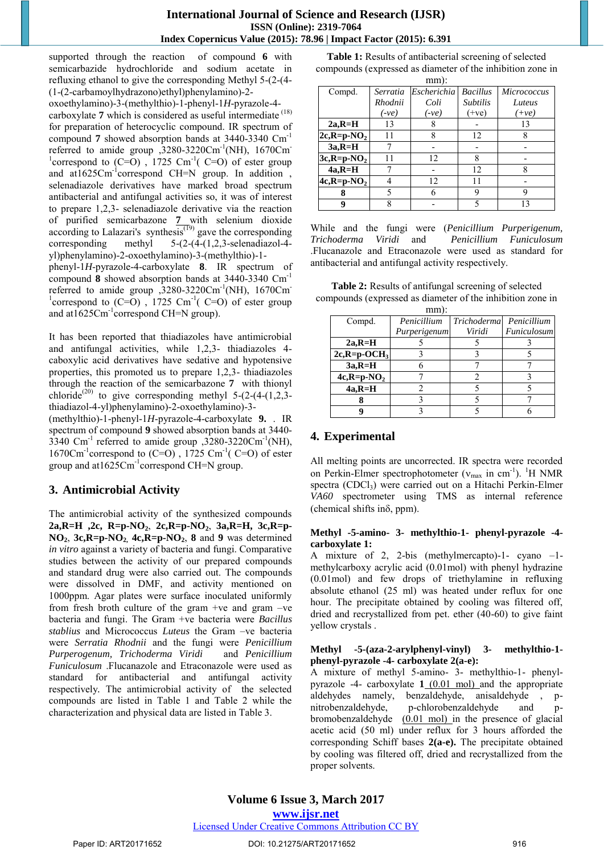supported through the reaction of compound **6** with semicarbazide hydrochloride and sodium acetate in refluxing ethanol to give the corresponding Methyl 5-(2-(4- (1-(2-carbamoylhydrazono)ethyl)phenylamino)-2-

oxoethylamino)-3-(methylthio)-1-phenyl-1*H*-pyrazole-4 carboxylate **7** which is considered as useful intermediate (18) for preparation of heterocyclic compound. IR spectrum of compound **7** showed absorption bands at 3440-3340 Cm-1 referred to amide group  $,3280-3220$ Cm<sup>-1</sup>(NH), 1670Cm<sup>-1</sup> <sup>1</sup>correspond to  $(C=O)$ , 1725 Cm<sup>-1</sup>( $C=O$ ) of ester group and at  $1625 \text{Cm}^{-1}$ correspond CH=N group. In addition, selenadiazole derivatives have marked broad spectrum antibacterial and antifungal activities so, it was of interest to prepare 1,2,3- selenadiazole derivative via the reaction of purified semicarbazone **7** with selenium dioxide  $\frac{1}{2}$  according to Lalazari's synthesis<sup>(19)</sup> gave the corresponding corresponding methyl 5-(2-(4-(1,2,3-selenadiazol-4 yl)phenylamino)-2-oxoethylamino)-3-(methylthio)-1 phenyl-1*H*-pyrazole-4-carboxylate **8**. IR spectrum of

compound **8** showed absorption bands at 3440-3340 Cm-1 referred to amide group  $,3280$ -3220Cm<sup>-1</sup>(NH), 1670Cm<sup>-</sup> <sup>1</sup>correspond to  $(C=O)$ , 1725 Cm<sup>-1</sup>( $C=O$ ) of ester group and at1625Cm<sup>-1</sup>correspond CH=N group).

It has been reported that thiadiazoles have antimicrobial and antifungal activities, while 1,2,3- thiadiazoles 4 caboxylic acid derivatives have sedative and hypotensive properties, this promoted us to prepare 1,2,3- thiadiazoles through the reaction of the semicarbazone **7** with thionyl chloride<sup>(20)</sup> to give corresponding methyl  $5-(2-(4-(1,2,3$ thiadiazol-4-yl)phenylamino)-2-oxoethylamino)-3-

(methylthio)-1-phenyl-1*H*-pyrazole-4-carboxylate **9.** . IR spectrum of compound **9** showed absorption bands at 3440-  $3340$  Cm<sup>-1</sup> referred to amide group ,  $3280$ - $3220$ Cm<sup>-1</sup>(NH), 1670Cm<sup>-1</sup> correspond to  $(C=O)$ , 1725 Cm<sup>-1</sup> $(C=O)$  of ester group and at1625Cm<sup>-1</sup>correspond CH=N group.

# **3. Antimicrobial Activity**

The antimicrobial activity of the synthesized compounds **2a,R=H ,2c, R=p-NO2**, **2c,R=p-NO2**, **3a,R=H, 3c,R=p-** $NO<sub>2</sub>$ ,  $3c$ , $R=p-NO<sub>2</sub>$ ,  $4c$ , $R=p-NO<sub>2</sub>$ ,  $8$  and  $9$  was determined *in vitro* against a variety of bacteria and fungi. Comparative studies between the activity of our prepared compounds and standard drug were also carried out. The compounds were dissolved in DMF, and activity mentioned on 1000ppm. Agar plates were surface inoculated uniformly from fresh broth culture of the gram +ve and gram –ve bacteria and fungi. The Gram +ve bacteria were *Bacillus stablius* and Micrococcus *Luteus* the Gram –ve bacteria were *Serratia Rhodnii* and the fungi were *Penicillium Purperogenum, Trichoderma Viridi* and *Penicillium Funiculosum* .Flucanazole and Etraconazole were used as standard for antibacterial and antifungal activity respectively*.* The antimicrobial activity of the selected compounds are listed in Table 1 and Table 2 while the characterization and physical data are listed in Table 3.

**Table 1:** Results of antibacterial screening of selected compounds (expressed as diameter of the inhibition zone in mm):

| Compd.        | Serratia | <i>Escherichia</i> | <b>Bacillus</b> | <b>Micrococcus</b> |  |  |  |
|---------------|----------|--------------------|-----------------|--------------------|--|--|--|
|               | Rhodnii  | Coli               | <b>Subtilis</b> | Luteus             |  |  |  |
|               | $(-ve)$  | $(-ve)$            | $(+ve)$         | $(+ve)$            |  |  |  |
| $2a, R=H$     | 13       | 8                  |                 | 13                 |  |  |  |
| $2c, R=p-NO2$ | 11       |                    | 12              |                    |  |  |  |
| $3a, R=H$     |          |                    |                 |                    |  |  |  |
| $3c, R=p-NO2$ | 11       | 12                 | 8               |                    |  |  |  |
| $4a, R=H$     |          |                    | 12              | 8                  |  |  |  |
| $4c, R=p-NO2$ |          | 12                 | 11              |                    |  |  |  |
|               |          | 6                  | 9               | Q                  |  |  |  |
| q             |          |                    | 5               | 13                 |  |  |  |

While and the fungi were (*Penicillium Purperigenum, Trichoderma Viridi* and *Penicillium Funiculosum* .Flucanazole and Etraconazole were used as standard for antibacterial and antifungal activity respectively.

**Table 2:** Results of antifungal screening of selected compounds (expressed as diameter of the inhibition zone in

| mm):           |              |              |             |  |  |  |  |
|----------------|--------------|--------------|-------------|--|--|--|--|
| Compd.         | Penicillium  | Trichodermal | Penicillium |  |  |  |  |
|                | Purperigenum | Viridi       | Funiculosum |  |  |  |  |
| $2a, R=H$      |              |              |             |  |  |  |  |
| $2c, R=p-OCH3$ |              |              |             |  |  |  |  |
| $3a$ , $R=H$   |              |              |             |  |  |  |  |
| $4c, R=p-NO2$  |              | 2            |             |  |  |  |  |
| $4a, R=H$      |              |              |             |  |  |  |  |
|                |              |              |             |  |  |  |  |
|                |              |              |             |  |  |  |  |

# **4. Experimental**

All melting points are uncorrected. IR spectra were recorded on Perkin-Elmer spectrophotometer ( $v_{\text{max}}$  in cm<sup>-1</sup>). <sup>1</sup>H NMR spectra (CDCl<sub>3</sub>) were carried out on a Hitachi Perkin-Elmer *VA60* spectrometer using TMS as internal reference (chemical shifts in $\delta$ , ppm).

#### **Methyl -5-amino- 3- methylthio-1- phenyl-pyrazole -4 carboxylate 1:**

A mixture of 2, 2-bis (methylmercapto)-1- cyano –1 methylcarboxy acrylic acid (0.01mol) with phenyl hydrazine (0.01mol) and few drops of triethylamine in refluxing absolute ethanol (25 ml) was heated under reflux for one hour. The precipitate obtained by cooling was filtered off, dried and recrystallized from pet. ether (40-60) to give faint yellow crystals .

#### **Methyl -5-(aza-2-arylphenyl-vinyl) 3- methylthio-1 phenyl-pyrazole -4- carboxylate 2(a-e):**

A mixture of methyl 5-amino- 3- methylthio-1- phenylpyrazole -4- carboxylate **1** (0.01 mol) and the appropriate aldehydes namely, benzaldehyde, anisaldehyde , pnitrobenzaldehyde, p-chlorobenzaldehyde and pbromobenzaldehyde (0.01 mol) in the presence of glacial acetic acid (50 ml) under reflux for 3 hours afforded the corresponding Schiff bases **2(a-e).** The precipitate obtained by cooling was filtered off, dried and recrystallized from the proper solvents.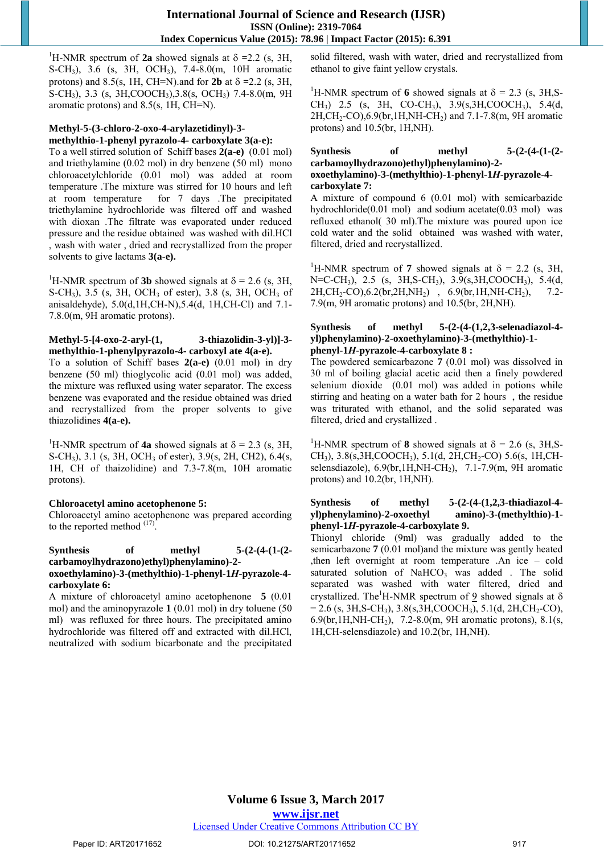<sup>1</sup>H-NMR spectrum of **2a** showed signals at  $\delta$  =2.2 (s, 3H, S-CH3), 3.6 (s, 3H, OCH3), 7.4-8.0(m, 10H aromatic protons) and 8.5(s, 1H, CH=N).and for **2b** at  $\delta$  =2.2 (s, 3H, S-CH3), 3.3 (s, 3H,COOCH3),3.8(s, OCH3) 7.4-8.0(m, 9H aromatic protons) and 8.5(s, 1H, CH=N).

#### **Methyl-5-(3-chloro-2-oxo-4-arylazetidinyl)-3 methylthio-1-phenyl pyrazolo-4- carboxylate 3(a-e):**

To a well stirred solution of Schiff bases **2(a-e)** (0.01 mol) and triethylamine (0.02 mol) in dry benzene (50 ml) mono chloroacetylchloride (0.01 mol) was added at room temperature .The mixture was stirred for 10 hours and left at room temperature for 7 days .The precipitated triethylamine hydrochloride was filtered off and washed with dioxan .The filtrate was evaporated under reduced pressure and the residue obtained was washed with dil.HCl , wash with water , dried and recrystallized from the proper solvents to give lactams **3(a-e).**

<sup>1</sup>H-NMR spectrum of **3b** showed signals at  $\delta$  = 2.6 (s, 3H, S-CH<sub>3</sub>), 3.5 (s, 3H, OCH<sub>3</sub> of ester), 3.8 (s, 3H, OCH<sub>3</sub> of anisaldehyde), 5.0(d,1H,CH-N),5.4(d, 1H,CH-Cl) and 7.1- 7.8.0(m, 9H aromatic protons).

#### **Methyl-5-[4-oxo-2-aryl-(1, 3-thiazolidin-3-yl)]-3 methylthio-1-phenylpyrazolo-4- carboxyl ate 4(a-e).**

To a solution of Schiff bases **2(a-e)** (0.01 mol) in dry benzene (50 ml) thioglycolic acid (0.01 mol) was added, the mixture was refluxed using water separator. The excess benzene was evaporated and the residue obtained was dried and recrystallized from the proper solvents to give thiazolidines **4(a-e).**

<sup>1</sup>H-NMR spectrum of **4a** showed signals at  $\delta$  = 2.3 (s, 3H, S-CH<sub>3</sub>), 3.1 (s, 3H, OCH<sub>3</sub> of ester), 3.9(s, 2H, CH2), 6.4(s, 1H, CH of thaizolidine) and 7.3-7.8(m, 10H aromatic protons).

#### **Chloroacetyl amino acetophenone 5:**

Chloroacetyl amino acetophenone was prepared according to the reported method  $(17)$ .

# **Synthesis of methyl 5-(2-(4-(1-(2 carbamoylhydrazono)ethyl)phenylamino)-2-**

#### **oxoethylamino)-3-(methylthio)-1-phenyl-1***H***-pyrazole-4 carboxylate 6:**

A mixture of chloroacetyl amino acetophenone **5** (0.01 mol) and the aminopyrazole **1** (0.01 mol) in dry toluene (50 ml) was refluxed for three hours. The precipitated amino hydrochloride was filtered off and extracted with dil.HCl, neutralized with sodium bicarbonate and the precipitated solid filtered, wash with water, dried and recrystallized from ethanol to give faint yellow crystals.

<sup>1</sup>H-NMR spectrum of 6 showed signals at  $\delta$  = 2.3 (s, 3H,S- $CH_3$ ) 2.5 (s, 3H, CO-CH<sub>3</sub>), 3.9(s,3H,COOCH<sub>3</sub>), 5.4(d,  $2H, CH_2-CO$ , 6.9(br, 1H, NH-CH<sub>2</sub>) and 7.1-7.8(m, 9H aromatic protons) and 10.5(br, 1H,NH).

#### **Synthesis of methyl 5-(2-(4-(1-(2 carbamoylhydrazono)ethyl)phenylamino)-2 oxoethylamino)-3-(methylthio)-1-phenyl-1***H***-pyrazole-4 carboxylate 7:**

A mixture of compound 6 (0.01 mol) with semicarbazide hydrochloride(0.01 mol) and sodium acetate(0.03 mol) was refluxed ethanol( 30 ml).The mixture was poured upon ice cold water and the solid obtained was washed with water, filtered, dried and recrystallized.

<sup>1</sup>H-NMR spectrum of **7** showed signals at  $\delta$  = 2.2 (s, 3H, N=C-CH<sub>3</sub>), 2.5 (s, 3H,S-CH<sub>3</sub>), 3.9(s,3H,COOCH<sub>3</sub>), 5.4(d, 2H,CH<sub>2</sub>-CO),6.2(br,2H,NH<sub>2</sub>), 6.9(br,1H,NH-CH<sub>2</sub>), 7.2-7.9(m, 9H aromatic protons) and 10.5(br, 2H,NH).

#### **Synthesis of methyl 5-(2-(4-(1,2,3-selenadiazol-4 yl)phenylamino)-2-oxoethylamino)-3-(methylthio)-1 phenyl-1***H***-pyrazole-4-carboxylate 8 :**

The powdered semicarbazone **7** (0.01 mol) was dissolved in 30 ml of boiling glacial acetic acid then a finely powdered selenium dioxide (0.01 mol) was added in potions while stirring and heating on a water bath for 2 hours , the residue was triturated with ethanol, and the solid separated was filtered, dried and crystallized .

<sup>1</sup>H-NMR spectrum of **8** showed signals at  $\delta$  = 2.6 (s, 3H,S-CH3), 3.8(s,3H,COOCH3), 5.1(d, 2H,CH2-CO) 5.6(s, 1H,CHselensdiazole), 6.9(br,1H,NH-CH<sub>2</sub>), 7.1-7.9(m, 9H aromatic protons) and 10.2(br, 1H,NH).

#### **Synthesis of methyl 5-(2-(4-(1,2,3-thiadiazol-4 yl)phenylamino)-2-oxoethyl amino)-3-(methylthio)-1 phenyl-1***H***-pyrazole-4-carboxylate 9.**

Thionyl chloride (9ml) was gradually added to the semicarbazone **7** (0.01 mol)and the mixture was gently heated ,then left overnight at room temperature .An ice – cold saturated solution of  $NAHCO<sub>3</sub>$  was added . The solid separated was washed with water filtered, dried and crystallized. The<sup>1</sup>H-NMR spectrum of 9 showed signals at  $\delta$  $= 2.6$  (s, 3H, S-CH<sub>3</sub>), 3.8(s, 3H, COOCH<sub>3</sub>), 5.1(d, 2H, CH<sub>2</sub>-CO), 6.9(br,1H,NH-CH2), 7.2-8.0(m, 9H aromatic protons), 8.1(s, 1H,CH-selensdiazole) and 10.2(br, 1H,NH).

Paper ID: ART20171652 DOI: 10.21275/ART20171652 917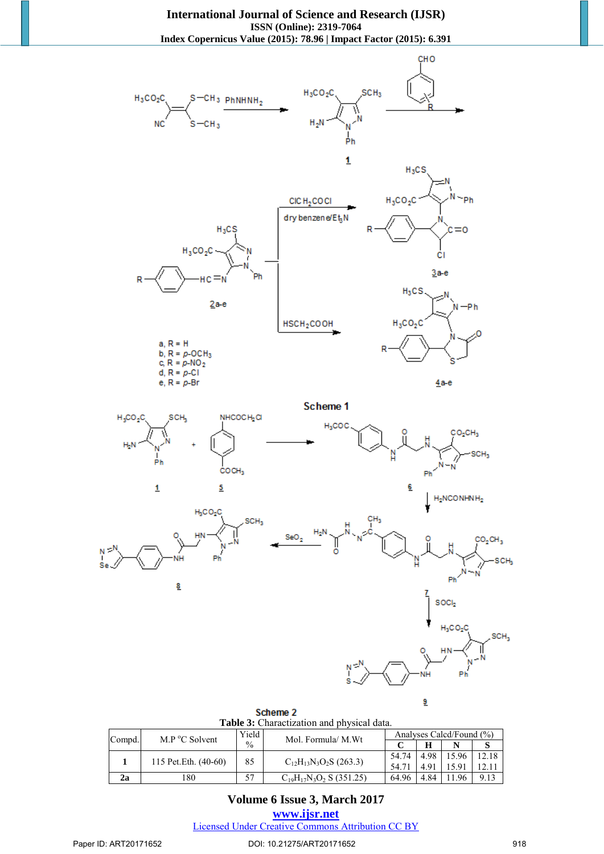

| Scheme 2                                 |  |
|------------------------------------------|--|
| able 2. Charactization and physical data |  |

| <b>Table 5.</b> Charactization and bifysical data. |                                         |                                 |                             |                          |      |      |  |  |
|----------------------------------------------------|-----------------------------------------|---------------------------------|-----------------------------|--------------------------|------|------|--|--|
|                                                    |                                         |                                 |                             | Analyses Calcd/Found (%) |      |      |  |  |
|                                                    | $\frac{0}{0}$                           |                                 |                             | н                        |      |      |  |  |
|                                                    | 85                                      | $C_{12}H_{13}N_3O_2S$ (263.3)   | 54.74                       | 4.98                     | 5.96 |      |  |  |
|                                                    |                                         |                                 | 54.71                       | 4.91                     |      |      |  |  |
| 80                                                 |                                         | $C_{19}H_{17}N_3O_2 S$ (351.25) | 64.96                       | 4.84                     | 1.96 | 9.13 |  |  |
|                                                    | M.P °C Solvent<br>115 Pet. Eth. (40-60) |                                 | Yield<br>Mol. Formula/ M.Wt |                          |      |      |  |  |

### **Volume 6 Issue 3, March 2017**

**www.ijsr.net**

Licensed Under Creative Commons Attribution CC BY